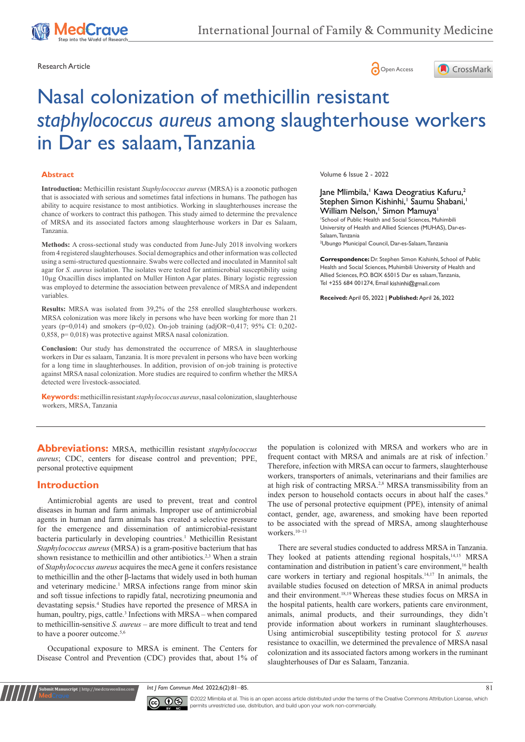





# Nasal colonization of methicillin resistant *staphylococcus aureus* among slaughterhouse workers in Dar es salaam, Tanzania

#### **Abstract**

**Introduction:** Methicillin resistant *Staphylococcus aureus* (MRSA) is a zoonotic pathogen that is associated with serious and sometimes fatal infections in humans. The pathogen has ability to acquire resistance to most antibiotics. Working in slaughterhouses increase the chance of workers to contract this pathogen. This study aimed to determine the prevalence of MRSA and its associated factors among slaughterhouse workers in Dar es Salaam, Tanzania.

**Methods:** A cross-sectional study was conducted from June-July 2018 involving workers from 4 registered slaughterhouses. Social demographics and other information was collected using a semi-structured questionnaire. Swabs were collected and inoculated in Mannitol salt agar for *S. aureus* isolation. The isolates were tested for antimicrobial susceptibility using 10µg Oxacillin discs implanted on Muller Hinton Agar plates. Binary logistic regression was employed to determine the association between prevalence of MRSA and independent variables.

**Results:** MRSA was isolated from 39,2% of the 258 enrolled slaughterhouse workers. MRSA colonization was more likely in persons who have been working for more than 21 years (p=0,014) and smokers (p=0,02). On-job training (adjOR=0,417; 95% CI: 0,202-0,858, p= 0,018) was protective against MRSA nasal colonization.

**Conclusion:** Our study has demonstrated the occurrence of MRSA in slaughterhouse workers in Dar es salaam, Tanzania. It is more prevalent in persons who have been working for a long time in slaughterhouses. In addition, provision of on-job training is protective against MRSA nasal colonization. More studies are required to confirm whether the MRSA detected were livestock-associated.

**Keywords:**methicillin resistant *staphylococcus aureus*, nasal colonization, slaughterhouse workers, MRSA, Tanzania

Volume 6 Issue 2 - 2022

Jane Mlimbila,' Kawa Deogratius Kafuru,<sup>2</sup> Stephen Simon Kishinhi,<sup>1</sup> Saumu Shabani,<sup>1</sup> William Nelson,<sup>1</sup> Simon Mamuya<sup>1</sup>

1 School of Public Health and Social Sciences, Muhimbili University of Health and Allied Sciences (MUHAS), Dar-es-Salaam, Tanzania

2 Ubungo Municipal Council, Dar-es-Salaam, Tanzania

**Correspondence:** Dr. Stephen Simon Kishinhi, School of Public Health and Social Sciences, Muhimbili University of Health and Allied Sciences, P.O. BOX 65015 Dar es salaam, Tanzania, Tel +255 684 001274, Email kishinhi@gmail.com

**Received:** April 05, 2022 | **Published:** April 26, 2022

**Abbreviations:** MRSA, methicillin resistant *staphylococcus aureus*; CDC, centers for disease control and prevention; PPE, personal protective equipment

### **Introduction**

**it Manuscript** | http://medcraveonline.

Antimicrobial agents are used to prevent, treat and control diseases in human and farm animals. Improper use of antimicrobial agents in human and farm animals has created a selective pressure for the emergence and dissemination of antimicrobial-resistant bacteria particularly in developing countries.<sup>1</sup> Methicillin Resistant *Staphylococcus aureus* (MRSA) is a gram-positive bacterium that has shown resistance to methicillin and other antibiotics.<sup>2,3</sup> When a strain of *Staphylococcus aureus* acquires the mecA gene it confers resistance to methicillin and the other β-lactams that widely used in both human and veterinary medicine.<sup>1</sup> MRSA infections range from minor skin and soft tissue infections to rapidly fatal, necrotizing pneumonia and devastating sepsis.4 Studies have reported the presence of MRSA in human, poultry, pigs, cattle.<sup>3</sup> Infections with MRSA - when compared to methicillin-sensitive *S. aureus* – are more difficult to treat and tend to have a poorer outcome.<sup>5,6</sup>

Occupational exposure to MRSA is eminent. The Centers for Disease Control and Prevention (CDC) provides that, about 1% of the population is colonized with MRSA and workers who are in frequent contact with MRSA and animals are at risk of infection.7 Therefore, infection with MRSA can occur to farmers, slaughterhouse workers, transporters of animals, veterinarians and their families are at high risk of contracting MRSA.<sup>2,8</sup> MRSA transmissibility from an index person to household contacts occurs in about half the cases.<sup>9</sup> The use of personal protective equipment (PPE), intensity of animal contact, gender, age, awareness, and smoking have been reported to be associated with the spread of MRSA, among slaughterhouse workers.10–13

There are several studies conducted to address MRSA in Tanzania. They looked at patients attending regional hospitals,<sup>14,15</sup> MRSA contamination and distribution in patient's care environment,<sup>16</sup> health care workers in tertiary and regional hospitals.14,17 In animals, the available studies focused on detection of MRSA in animal products and their environment.18,19 Whereas these studies focus on MRSA in the hospital patients, health care workers, patients care environment, animals, animal products, and their surroundings, they didn't provide information about workers in ruminant slaughterhouses. Using antimicrobial susceptibility testing protocol for *S. aureus* resistance to oxacillin, we determined the prevalence of MRSA nasal colonization and its associated factors among workers in the ruminant slaughterhouses of Dar es Salaam, Tanzania.

*Int J Fam Commun Med.* 2022;6(2):81‒85. 81



©2022 Mlimbila et al. This is an open access article distributed under the terms of the [Creative Commons Attribution License,](https://creativecommons.org/licenses/by-nc/4.0/) which permits unrestricted use, distribution, and build upon your work non-commercially.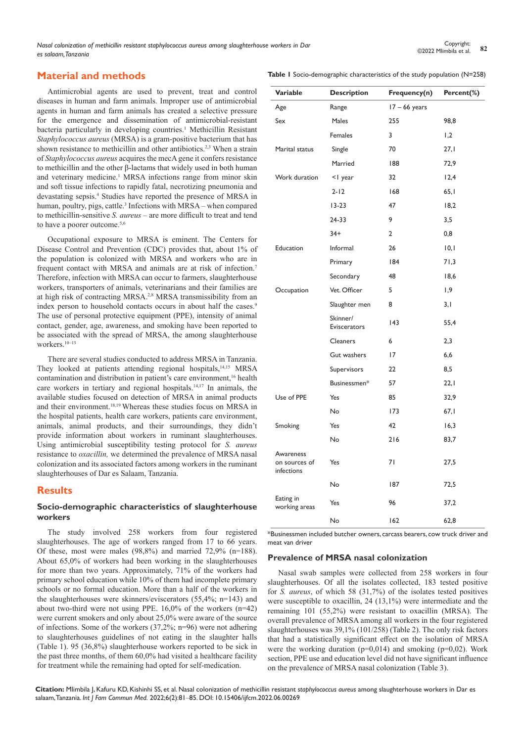## **Material and methods**

Antimicrobial agents are used to prevent, treat and control diseases in human and farm animals. Improper use of antimicrobial agents in human and farm animals has created a selective pressure for the emergence and dissemination of antimicrobial-resistant bacteria particularly in developing countries.<sup>1</sup> Methicillin Resistant *Staphylococcus aureus* (MRSA) is a gram-positive bacterium that has shown resistance to methicillin and other antibiotics.<sup>2,3</sup> When a strain of *Staphylococcus aureus* acquires the mecA gene it confers resistance to methicillin and the other β-lactams that widely used in both human and veterinary medicine.<sup>1</sup> MRSA infections range from minor skin and soft tissue infections to rapidly fatal, necrotizing pneumonia and devastating sepsis.4 Studies have reported the presence of MRSA in human, poultry, pigs, cattle.<sup>3</sup> Infections with MRSA – when compared to methicillin-sensitive *S. aureus* – are more difficult to treat and tend to have a poorer outcome.<sup>5,6</sup>

Occupational exposure to MRSA is eminent. The Centers for Disease Control and Prevention (CDC) provides that, about 1% of the population is colonized with MRSA and workers who are in frequent contact with MRSA and animals are at risk of infection.7 Therefore, infection with MRSA can occur to farmers, slaughterhouse workers, transporters of animals, veterinarians and their families are at high risk of contracting MRSA.<sup>2,8</sup> MRSA transmissibility from an index person to household contacts occurs in about half the cases.<sup>9</sup> The use of personal protective equipment (PPE), intensity of animal contact, gender, age, awareness, and smoking have been reported to be associated with the spread of MRSA, the among slaughterhouse workers.10–13

There are several studies conducted to address MRSA in Tanzania. They looked at patients attending regional hospitals,<sup>14,15</sup> MRSA contamination and distribution in patient's care environment,<sup>16</sup> health care workers in tertiary and regional hospitals.14,17 In animals, the available studies focused on detection of MRSA in animal products and their environment.18,19 Whereas these studies focus on MRSA in the hospital patients, health care workers, patients care environment, animals, animal products, and their surroundings, they didn't provide information about workers in ruminant slaughterhouses. Using antimicrobial susceptibility testing protocol for *S. aureus*  resistance to *oxacillin,* we determined the prevalence of MRSA nasal colonization and its associated factors among workers in the ruminant slaughterhouses of Dar es Salaam, Tanzania.

## **Results**

#### **Socio-demographic characteristics of slaughterhouse workers**

The study involved 258 workers from four registered slaughterhouses. The age of workers ranged from 17 to 66 years. Of these, most were males (98,8%) and married 72,9% (n=188). About 65,0% of workers had been working in the slaughterhouses for more than two years. Approximately, 71% of the workers had primary school education while 10% of them had incomplete primary schools or no formal education. More than a half of the workers in the slaughterhouses were skinners/eviscerators (55,4%; n=143) and about two-third were not using PPE. 16,0% of the workers (n=42) were current smokers and only about 25,0% were aware of the source of infections. Some of the workers (37,2%; n=96) were not adhering to slaughterhouses guidelines of not eating in the slaughter halls (Table 1). 95 (36,8%) slaughterhouse workers reported to be sick in the past three months, of them 60,0% had visited a healthcare facility for treatment while the remaining had opted for self-medication.

**Table 1** Socio-demographic characteristics of the study population (N=258)

| Variable                                 | <b>Description</b>       | Frequency(n)    | Percent(%) |
|------------------------------------------|--------------------------|-----------------|------------|
| Age                                      | Range                    | $17 - 66$ years |            |
| Sex                                      | Males                    | 255             | 98,8       |
|                                          | Females                  | 3               | 1,2        |
| Marital status                           | Single                   | 70              | 27,1       |
|                                          | Married                  | 188             | 72,9       |
| Work duration                            | <1 year                  | 32              | 12,4       |
|                                          | $2 - 12$                 | 168             | 65,1       |
|                                          | $13-23$                  | 47              | 18,2       |
|                                          | 24-33                    | 9               | 3,5        |
|                                          | $34+$                    | $\overline{2}$  | 0,8        |
| Education                                | Informal                 | 26              | 10,1       |
|                                          | Primary                  | 184             | 71,3       |
|                                          | Secondary                | 48              | 18,6       |
| Occupation                               | Vet. Officer             | 5               | 1,9        |
|                                          | Slaughter men            | 8               | 3,1        |
|                                          | Skinner/<br>Eviscerators | 143             | 55,4       |
|                                          | <b>Cleaners</b>          | 6               | 2,3        |
|                                          | Gut washers              | 17              | 6,6        |
|                                          | Supervisors              | 22              | 8,5        |
|                                          | Businessmen*             | 57              | 22,1       |
| Use of PPE                               | Yes                      | 85              | 32,9       |
|                                          | No                       | 173             | 67,1       |
| Smoking                                  | Yes                      | 42              | 16,3       |
|                                          | No                       | 216             | 83,7       |
| Awareness<br>on sources of<br>infections | Yes                      | 71              | 27,5       |
|                                          | No                       | 187             | 72,5       |
| Eating in<br>working areas               | Yes                      | 96              | 37,2       |
|                                          | No                       | 162             | 62,8       |

\*Businessmen included butcher owners, carcass bearers, cow truck driver and meat van driver

## **Prevalence of MRSA nasal colonization**

Nasal swab samples were collected from 258 workers in four slaughterhouses. Of all the isolates collected, 183 tested positive for *S. aureus*, of which 58 (31,7%) of the isolates tested positives were susceptible to oxacillin, 24 (13,1%) were intermediate and the remaining 101 (55,2%) were resistant to oxacillin (MRSA). The overall prevalence of MRSA among all workers in the four registered slaughterhouses was 39,1% (101/258) (Table 2). The only risk factors that had a statistically significant effect on the isolation of MRSA were the working duration ( $p=0,014$ ) and smoking ( $p=0,02$ ). Work section, PPE use and education level did not have significant influence on the prevalence of MRSA nasal colonization (Table 3).

**Citation:** Mlimbila J, Kafuru KD, Kishinhi SS, et al. Nasal colonization of methicillin resistant *staphylococcus aureus* among slaughterhouse workers in Dar es salaam, Tanzania. *Int J Fam Commun Med.* 2022;6(2):81‒85. DOI: [10.15406/ijfcm.2022.06.00269](https://doi.org/10.15406/ijfcm.2022.06.00269)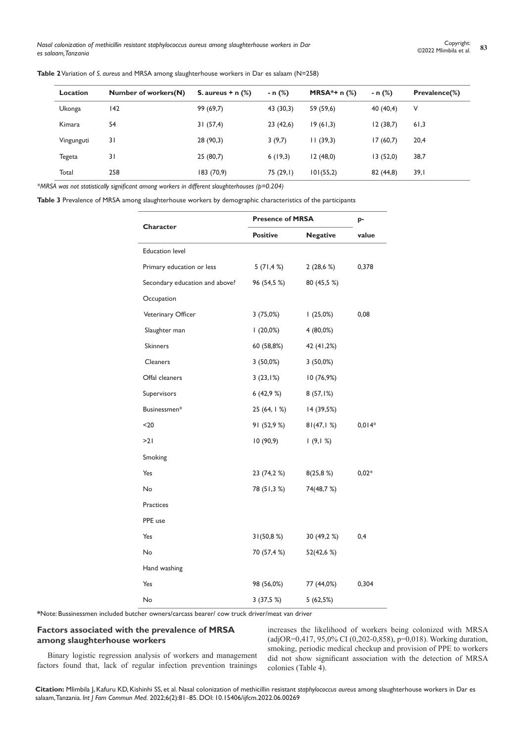*Nasal colonization of methicillin resistant staphylococcus aureus among slaughterhouse workers in Dar es salaam, Tanzania*

| <b>Location</b> | Number of workers(N) | S. aureus $+$ n $(\%)$ | - n (%)  | <b>MRSA</b> *+ $n$ (%) | - n (%)   | <b>Prevalence(%)</b> |
|-----------------|----------------------|------------------------|----------|------------------------|-----------|----------------------|
| Ukonga          | 142                  | 99 (69,7)              | 43(30,3) | 59 (59,6)              | 40(40,4)  | V                    |
| Kimara          | 54                   | 31(57,4)               | 23(42,6) | 19(61,3)               | 12(38,7)  | 61,3                 |
| Vingunguti      | 31                   | 28 (90,3)              | 3(9,7)   | 11(39,3)               | 17(60,7)  | 20,4                 |
| Tegeta          | 31                   | 25(80,7)               | 6(19,3)  | 12(48,0)               | 13(52,0)  | 38,7                 |
| Total           | 258                  | 183(70,9)              | 75(29,1) | 101(55,2)              | 82 (44,8) | 39,1                 |

*\*MRSA was not statistically significant among workers in different slaughterhouses (p=0.204)* 

**Table 3** Prevalence of MRSA among slaughterhouse workers by demographic characteristics of the participants

|                                | <b>Presence of MRSA</b> | p-              |          |
|--------------------------------|-------------------------|-----------------|----------|
| Character                      | <b>Positive</b>         | <b>Negative</b> | value    |
| <b>Education level</b>         |                         |                 |          |
| Primary education or less      | $5(71, 4\%)$            | 2(28,6%)        | 0,378    |
| Secondary education and above? | 96 (54,5 %)             | 80 (45,5 %)     |          |
| Occupation                     |                         |                 |          |
| Veterinary Officer             | 3(75,0%)                | 1(25,0%)        | 0,08     |
| Slaughter man                  | $(20,0\%)$              | 4 (80,0%)       |          |
| <b>Skinners</b>                | 60 (58,8%)              | 42 (41,2%)      |          |
| Cleaners                       | $3(50,0\%)$             | $3(50,0\%)$     |          |
| Offal cleaners                 | 3(23,1%)                | 10(76,9%)       |          |
| Supervisors                    | 6(42,9%)                | 8(57,1%)        |          |
| Businessmen*                   | 25 (64, 1 %)            | 14 (39,5%)      |          |
| $20$                           | 91 (52,9 %)             | 81(47, 1%)      | $0,014*$ |
| >21                            | 10(90,9)                | 1(9,1%)         |          |
| Smoking                        |                         |                 |          |
| Yes                            | 23 (74,2 %)             | 8(25,8%)        | $0,02*$  |
| No                             | 78 (51,3 %)             | 74(48,7 %)      |          |
| <b>Practices</b>               |                         |                 |          |
| PPE use                        |                         |                 |          |
| Yes                            | 31(50,8%)               | 30 (49,2 %)     | 0,4      |
| No                             | 70 (57,4 %)             | 52(42,6 %)      |          |
| Hand washing                   |                         |                 |          |
| Yes                            | 98 (56,0%)              | 77 (44,0%)      | 0,304    |
| No                             | 3(37,5%)                | 5(62,5%)        |          |

**\***Note: Bussinessmen included butcher owners/carcass bearer/ cow truck driver/meat van driver

#### **Factors associated with the prevalence of MRSA among slaughterhouse workers**

Binary logistic regression analysis of workers and management factors found that, lack of regular infection prevention trainings

increases the likelihood of workers being colonized with MRSA (adjOR=0,417, 95,0% CI (0,202-0,858), p=0,018). Working duration, smoking, periodic medical checkup and provision of PPE to workers did not show significant association with the detection of MRSA colonies (Table 4).

**Citation:** Mlimbila J, Kafuru KD, Kishinhi SS, et al. Nasal colonization of methicillin resistant *staphylococcus aureus* among slaughterhouse workers in Dar es salaam, Tanzania. *Int J Fam Commun Med.* 2022;6(2):81‒85. DOI: [10.15406/ijfcm.2022.06.00269](https://doi.org/10.15406/ijfcm.2022.06.00269)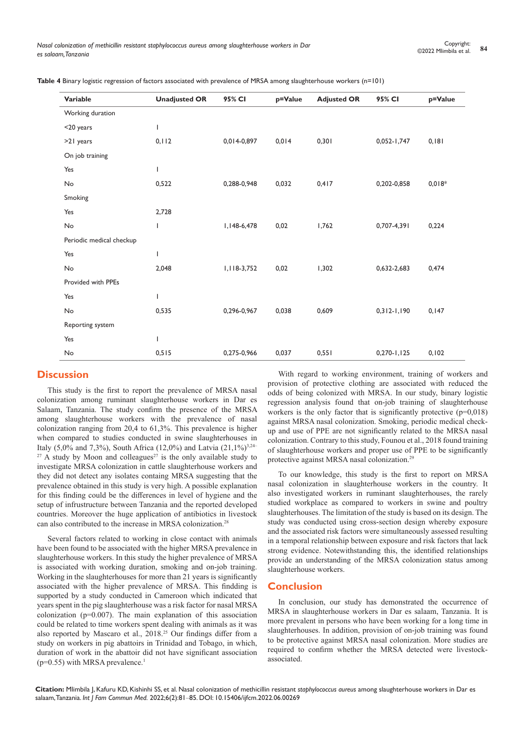**Table 4** Binary logistic regression of factors associated with prevalence of MRSA among slaughterhouse workers (n=101)

| <b>Variable</b>          | <b>Unadjusted OR</b> | 95% CI        | p=Value | <b>Adjusted OR</b> | 95% CI          | p=Value  |
|--------------------------|----------------------|---------------|---------|--------------------|-----------------|----------|
| Working duration         |                      |               |         |                    |                 |          |
| <20 years                | I                    |               |         |                    |                 |          |
| >21 years                | 0, 112               | 0,014-0,897   | 0,014   | 0,301              | $0,052 - 1,747$ | 0,181    |
| On job training          |                      |               |         |                    |                 |          |
| Yes                      | I                    |               |         |                    |                 |          |
| No                       | 0,522                | 0,288-0,948   | 0,032   | 0,417              | 0,202-0,858     | $0,018*$ |
| Smoking                  |                      |               |         |                    |                 |          |
| Yes                      | 2,728                |               |         |                    |                 |          |
| No                       | I                    | I, 148-6, 478 | 0,02    | 1,762              | 0,707-4,391     | 0,224    |
| Periodic medical checkup |                      |               |         |                    |                 |          |
| Yes                      | ı                    |               |         |                    |                 |          |
| No                       | 2,048                | 1,118-3,752   | 0,02    | 1,302              | 0,632-2,683     | 0,474    |
| Provided with PPEs       |                      |               |         |                    |                 |          |
| Yes                      | T                    |               |         |                    |                 |          |
| No                       | 0,535                | 0,296-0,967   | 0,038   | 0,609              | $0,312-1,190$   | 0,147    |
| Reporting system         |                      |               |         |                    |                 |          |
| Yes                      | ı                    |               |         |                    |                 |          |
| No                       | 0,515                | 0,275-0,966   | 0,037   | 0,551              | $0,270 - 1,125$ | 0, 102   |
|                          |                      |               |         |                    |                 |          |

## **Discussion**

This study is the first to report the prevalence of MRSA nasal colonization among ruminant slaughterhouse workers in Dar es Salaam, Tanzania. The study confirm the presence of the MRSA among slaughterhouse workers with the prevalence of nasal colonization ranging from 20,4 to 61,3%. This prevalence is higher when compared to studies conducted in swine slaughterhouses in Italy (5,0% and 7,3%), South Africa (12,0%) and Latvia (21,1%)<sup>3,24–</sup>  $27$  A study by Moon and colleagues<sup>27</sup> is the only available study to investigate MRSA colonization in cattle slaughterhouse workers and they did not detect any isolates containg MRSA suggesting that the prevalence obtained in this study is very high. A possible explanation for this finding could be the differences in level of hygiene and the setup of infrustructure between Tanzania and the reported developed countries. Moreover the huge application of antibiotics in livestock can also contributed to the increase in MRSA colonization.<sup>28</sup>

Several factors related to working in close contact with animals have been found to be associated with the higher MRSA prevalence in slaughterhouse workers. In this study the higher prevalence of MRSA is associated with working duration, smoking and on-job training. Working in the slaughterhouses for more than 21 years is significantly associated with the higher prevalence of MRSA. This findding is supported by a study conducted in Cameroon which indicated that years spent in the pig slaughterhouse was a risk factor for nasal MRSA colonization (p=0.007). The main explanation of this association could be related to time workers spent dealing with animals as it was also reported by Mascaro et al., 2018.25 Our findings differ from a study on workers in pig abattoirs in Trinidad and Tobago, in which, duration of work in the abattoir did not have significant association ( $p=0.55$ ) with MRSA prevalence.<sup>1</sup>

With regard to working environment, training of workers and provision of protective clothing are associated with reduced the odds of being colonized with MRSA. In our study, binary logistic regression analysis found that on-job training of slaughterhouse workers is the only factor that is significantly protective  $(p=0.018)$ against MRSA nasal colonization. Smoking, periodic medical checkup and use of PPE are not significantly related to the MRSA nasal colonization. Contrary to this study, Founou et al., 2018 found training of slaughterhouse workers and proper use of PPE to be significantly protective against MRSA nasal colonization.29

To our knowledge, this study is the first to report on MRSA nasal colonization in slaughterhouse workers in the country. It also investigated workers in ruminant slaughterhouses, the rarely studied workplace as compared to workers in swine and poultry slaughterhouses. The limitation of the study is based on its design. The study was conducted using cross-section design whereby exposure and the associated risk factors were simultaneously assessed resulting in a temporal relationship between exposure and risk factors that lack strong evidence. Notewithstanding this, the identified relationships provide an understanding of the MRSA colonization status among slaughterhouse workers.

### **Conclusion**

In conclusion, our study has demonstrated the occurrence of MRSA in slaughterhouse workers in Dar es salaam, Tanzania. It is more prevalent in persons who have been working for a long time in slaughterhouses. In addition, provision of on-job training was found to be protective against MRSA nasal colonization. More studies are required to confirm whether the MRSA detected were livestockassociated.

**Citation:** Mlimbila J, Kafuru KD, Kishinhi SS, et al. Nasal colonization of methicillin resistant *staphylococcus aureus* among slaughterhouse workers in Dar es salaam, Tanzania. *Int J Fam Commun Med.* 2022;6(2):81‒85. DOI: [10.15406/ijfcm.2022.06.00269](https://doi.org/10.15406/ijfcm.2022.06.00269)